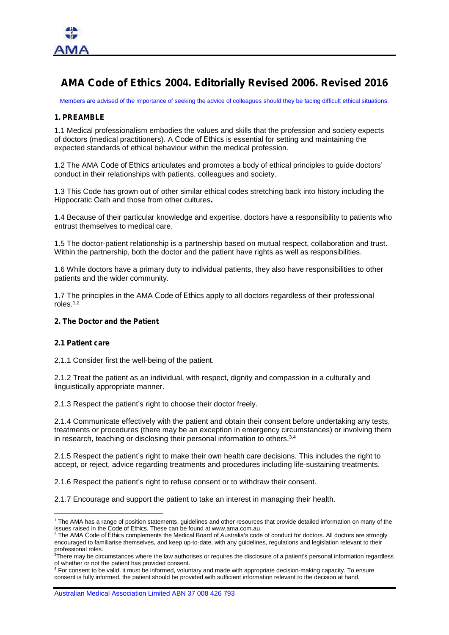

# **AMA Code of Ethics 2004. Editorially Revised 2006. Revised 2016**

Members are advised of the importance of seeking the advice of colleagues should they be facing difficult ethical situations.

#### **1. PREAMBLE**

1.1 Medical professionalism embodies the values and skills that the profession and society expects of doctors (medical practitioners). A *Code of Ethics* is essential for setting and maintaining the expected standards of ethical behaviour within the medical profession.

1.2 The AMA *Code of Ethics* articulates and promotes a body of ethical principles to guide doctors' conduct in their relationships with patients, colleagues and society.

1.3 This Code has grown out of other similar ethical codes stretching back into history including the Hippocratic Oath and those from other cultures**.**

1.4 Because of their particular knowledge and expertise, doctors have a responsibility to patients who entrust themselves to medical care.

1.5 The doctor-patient relationship is a partnership based on mutual respect, collaboration and trust. Within the partnership, both the doctor and the patient have rights as well as responsibilities.

1.6 While doctors have a primary duty to individual patients, they also have responsibilities to other patients and the wider community.

1.7 The principles in the AMA *Code of Ethics* apply to all doctors regardless of their professional roles.1,2

#### **2. The Doctor and the Patient**

#### **2.1 Patient care**

2.1.1 Consider first the well-being of the patient.

2.1.2 Treat the patient as an individual, with respect, dignity and compassion in a culturally and linguistically appropriate manner.

2.1.3 Respect the patient's right to choose their doctor freely.

2.1.4 Communicate effectively with the patient and obtain their consent before undertaking any tests, treatments or procedures (there may be an exception in emergency circumstances) or involving them in research, teaching or disclosing their personal information to others.3,4

2.1.5 Respect the patient's right to make their own health care decisions. This includes the right to accept, or reject, advice regarding treatments and procedures including life-sustaining treatments.

2.1.6 Respect the patient's right to refuse consent or to withdraw their consent.

2.1.7 Encourage and support the patient to take an interest in managing their health.

Australian Medical Association Limited ABN 37 008 426 793

<sup>&</sup>lt;sup>1</sup> The AMA has a range of position statements, guidelines and other resources that provide detailed information on many of the issues raised in the *Code of Ethics*. These can be found at www.ama.com.au.

<sup>2</sup> The AMA *Code of Ethics* complements the Medical Board of Australia's code of conduct for doctors. All doctors are strongly encouraged to familiarise themselves, and keep up-to-date, with any guidelines, regulations and legislation relevant to their professional roles.

<sup>&</sup>lt;sup>3</sup>There may be circumstances where the law authorises or requires the disclosure of a patient's personal information regardless of whether or not the patient has provided consent.

<sup>4</sup> For consent to be valid, it must be informed, voluntary and made with appropriate decision-making capacity. To ensure consent is fully informed, the patient should be provided with sufficient information relevant to the decision at hand.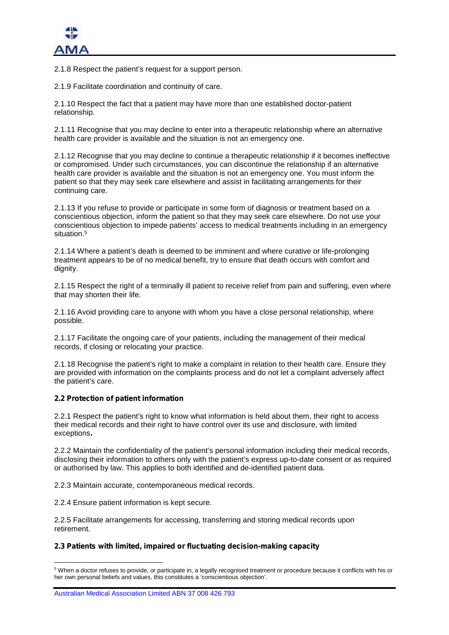2.1.8 Respect the patient's request for a support person.

2.1.9 Facilitate coordination and continuity of care.

2.1.10 Respect the fact that a patient may have more than one established doctor-patient relationship.

2.1.11 Recognise that you may decline to enter into a therapeutic relationship where an alternative health care provider is available and the situation is not an emergency one.

2.1.12 Recognise that you may decline to continue a therapeutic relationship if it becomes ineffective or compromised. Under such circumstances, you can discontinue the relationship if an alternative health care provider is available and the situation is not an emergency one. You must inform the patient so that they may seek care elsewhere and assist in facilitating arrangements for their continuing care.

2.1.13 If you refuse to provide or participate in some form of diagnosis or treatment based on a conscientious objection, inform the patient so that they may seek care elsewhere. Do not use your conscientious objection to impede patients' access to medical treatments including in an emergency situation.<sup>5</sup>

2.1.14 Where a patient's death is deemed to be imminent and where curative or life-prolonging treatment appears to be of no medical benefit, try to ensure that death occurs with comfort and dignity.

2.1.15 Respect the right of a terminally ill patient to receive relief from pain and suffering, even where that may shorten their life.

2.1.16 Avoid providing care to anyone with whom you have a close personal relationship, where possible.

2.1.17 Facilitate the ongoing care of your patients, including the management of their medical records, if closing or relocating your practice.

2.1.18 Recognise the patient's right to make a complaint in relation to their health care. Ensure they are provided with information on the complaints process and do not let a complaint adversely affect the patient's care.

# **2.2 Protection of patient information**

2.2.1 Respect the patient's right to know what information is held about them, their right to access their medical records and their right to have control over its use and disclosure, with limited exceptions**.**

2.2.2 Maintain the confidentiality of the patient's personal information including their medical records, disclosing their information to others only with the patient's express up-to-date consent or as required or authorised by law. This applies to both identified and de-identified patient data.

2.2.3 Maintain accurate, contemporaneous medical records.

2.2.4 Ensure patient information is kept secure.

2.2.5 Facilitate arrangements for accessing, transferring and storing medical records upon retirement.

# **2.3 Patients with limited, impaired or fluctuating decision-making capacity**

<sup>5</sup> When a doctor refuses to provide, or participate in, a legally recognised treatment or procedure because it conflicts with his or her own personal beliefs and values, this constitutes a 'conscientious objection'.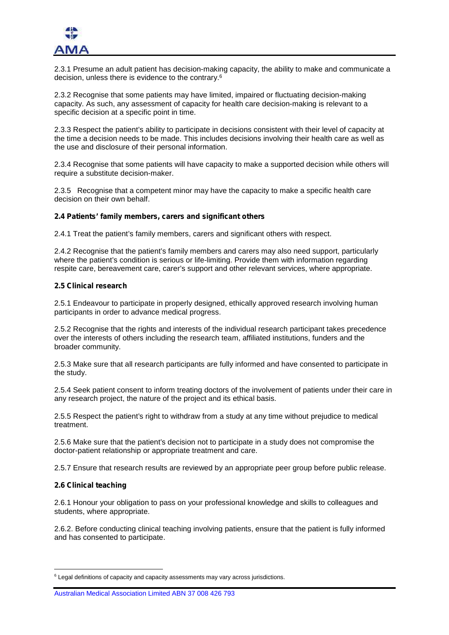

2.3.1 Presume an adult patient has decision-making capacity, the ability to make and communicate a decision, unless there is evidence to the contrary.<sup>6</sup>

2.3.2 Recognise that some patients may have limited, impaired or fluctuating decision-making capacity. As such, any assessment of capacity for health care decision-making is relevant to a specific decision at a specific point in time.

2.3.3 Respect the patient's ability to participate in decisions consistent with their level of capacity at the time a decision needs to be made. This includes decisions involving their health care as well as the use and disclosure of their personal information.

2.3.4 Recognise that some patients will have capacity to make a supported decision while others will require a substitute decision-maker.

2.3.5 Recognise that a competent minor may have the capacity to make a specific health care decision on their own behalf.

## **2.4 Patients' family members, carers and significant others**

2.4.1 Treat the patient's family members, carers and significant others with respect.

2.4.2 Recognise that the patient's family members and carers may also need support, particularly where the patient's condition is serious or life-limiting. Provide them with information regarding respite care, bereavement care, carer's support and other relevant services, where appropriate.

## **2.5 Clinical research**

2.5.1 Endeavour to participate in properly designed, ethically approved research involving human participants in order to advance medical progress.

2.5.2 Recognise that the rights and interests of the individual research participant takes precedence over the interests of others including the research team, affiliated institutions, funders and the broader community.

2.5.3 Make sure that all research participants are fully informed and have consented to participate in the study.

2.5.4 Seek patient consent to inform treating doctors of the involvement of patients under their care in any research project, the nature of the project and its ethical basis.

2.5.5 Respect the patient's right to withdraw from a study at any time without prejudice to medical treatment.

2.5.6 Make sure that the patient's decision not to participate in a study does not compromise the doctor-patient relationship or appropriate treatment and care.

2.5.7 Ensure that research results are reviewed by an appropriate peer group before public release.

#### **2.6 Clinical teaching**

2.6.1 Honour your obligation to pass on your professional knowledge and skills to colleagues and students, where appropriate.

2.6.2. Before conducting clinical teaching involving patients, ensure that the patient is fully informed and has consented to participate.

<sup>&</sup>lt;sup>6</sup> Legal definitions of capacity and capacity assessments may vary across jurisdictions.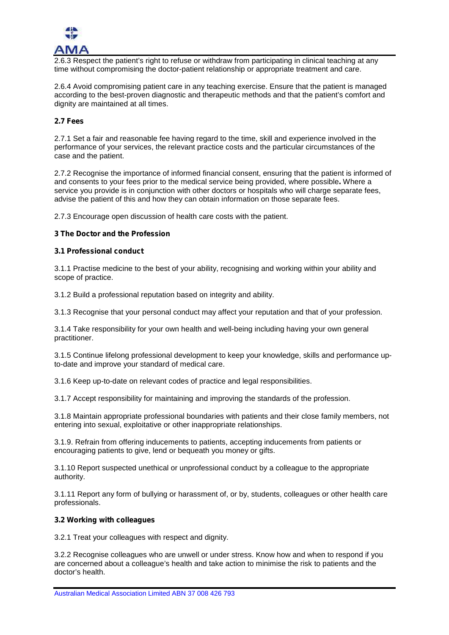

2.6.3 Respect the patient's right to refuse or withdraw from participating in clinical teaching at any time without compromising the doctor-patient relationship or appropriate treatment and care.

2.6.4 Avoid compromising patient care in any teaching exercise. Ensure that the patient is managed according to the best-proven diagnostic and therapeutic methods and that the patient's comfort and dignity are maintained at all times.

# **2.7 Fees**

2.7.1 Set a fair and reasonable fee having regard to the time, skill and experience involved in the performance of your services, the relevant practice costs and the particular circumstances of the case and the patient.

2.7.2 Recognise the importance of informed financial consent, ensuring that the patient is informed of and consents to your fees prior to the medical service being provided, where possible**.** Where a service you provide is in conjunction with other doctors or hospitals who will charge separate fees, advise the patient of this and how they can obtain information on those separate fees.

2.7.3 Encourage open discussion of health care costs with the patient.

# **3 The Doctor and the Profession**

## **3.1 Professional conduct**

3.1.1 Practise medicine to the best of your ability, recognising and working within your ability and scope of practice.

3.1.2 Build a professional reputation based on integrity and ability.

3.1.3 Recognise that your personal conduct may affect your reputation and that of your profession.

3.1.4 Take responsibility for your own health and well-being including having your own general practitioner.

3.1.5 Continue lifelong professional development to keep your knowledge, skills and performance upto-date and improve your standard of medical care.

3.1.6 Keep up-to-date on relevant codes of practice and legal responsibilities.

3.1.7 Accept responsibility for maintaining and improving the standards of the profession.

3.1.8 Maintain appropriate professional boundaries with patients and their close family members, not entering into sexual, exploitative or other inappropriate relationships.

3.1.9. Refrain from offering inducements to patients, accepting inducements from patients or encouraging patients to give, lend or bequeath you money or gifts.

3.1.10 Report suspected unethical or unprofessional conduct by a colleague to the appropriate authority.

3.1.11 Report any form of bullying or harassment of, or by, students, colleagues or other health care professionals.

#### **3.2 Working with colleagues**

3.2.1 Treat your colleagues with respect and dignity.

3.2.2 Recognise colleagues who are unwell or under stress. Know how and when to respond if you are concerned about a colleague's health and take action to minimise the risk to patients and the doctor's health.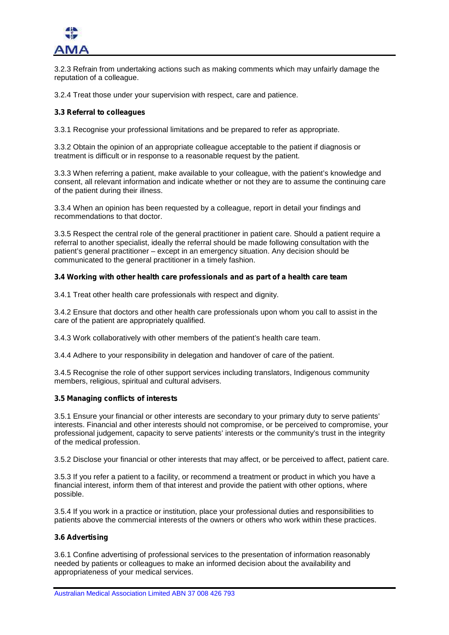

3.2.3 Refrain from undertaking actions such as making comments which may unfairly damage the reputation of a colleague.

3.2.4 Treat those under your supervision with respect, care and patience.

## **3.3 Referral to colleagues**

3.3.1 Recognise your professional limitations and be prepared to refer as appropriate.

3.3.2 Obtain the opinion of an appropriate colleague acceptable to the patient if diagnosis or treatment is difficult or in response to a reasonable request by the patient.

3.3.3 When referring a patient, make available to your colleague, with the patient's knowledge and consent, all relevant information and indicate whether or not they are to assume the continuing care of the patient during their illness.

3.3.4 When an opinion has been requested by a colleague, report in detail your findings and recommendations to that doctor.

3.3.5 Respect the central role of the general practitioner in patient care. Should a patient require a referral to another specialist, ideally the referral should be made following consultation with the patient's general practitioner – except in an emergency situation. Any decision should be communicated to the general practitioner in a timely fashion.

## **3.4 Working with other health care professionals and as part of a health care team**

3.4.1 Treat other health care professionals with respect and dignity.

3.4.2 Ensure that doctors and other health care professionals upon whom you call to assist in the care of the patient are appropriately qualified.

3.4.3 Work collaboratively with other members of the patient's health care team.

3.4.4 Adhere to your responsibility in delegation and handover of care of the patient.

3.4.5 Recognise the role of other support services including translators, Indigenous community members, religious, spiritual and cultural advisers.

#### **3.5 Managing conflicts of interests**

3.5.1 Ensure your financial or other interests are secondary to your primary duty to serve patients' interests. Financial and other interests should not compromise, or be perceived to compromise, your professional judgement, capacity to serve patients' interests or the community's trust in the integrity of the medical profession.

3.5.2 Disclose your financial or other interests that may affect, or be perceived to affect, patient care.

3.5.3 If you refer a patient to a facility, or recommend a treatment or product in which you have a financial interest, inform them of that interest and provide the patient with other options, where possible.

3.5.4 If you work in a practice or institution, place your professional duties and responsibilities to patients above the commercial interests of the owners or others who work within these practices.

#### **3.6 Advertising**

3.6.1 Confine advertising of professional services to the presentation of information reasonably needed by patients or colleagues to make an informed decision about the availability and appropriateness of your medical services.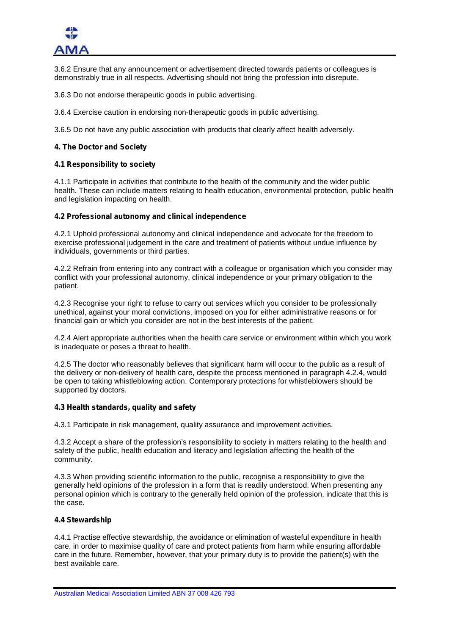

3.6.2 Ensure that any announcement or advertisement directed towards patients or colleagues is demonstrably true in all respects. Advertising should not bring the profession into disrepute.

3.6.3 Do not endorse therapeutic goods in public advertising.

3.6.4 Exercise caution in endorsing non-therapeutic goods in public advertising.

3.6.5 Do not have any public association with products that clearly affect health adversely.

# **4. The Doctor and Society**

## **4.1 Responsibility to society**

4.1.1 Participate in activities that contribute to the health of the community and the wider public health. These can include matters relating to health education, environmental protection, public health and legislation impacting on health.

## **4.2 Professional autonomy and clinical independence**

4.2.1 Uphold professional autonomy and clinical independence and advocate for the freedom to exercise professional judgement in the care and treatment of patients without undue influence by individuals, governments or third parties.

4.2.2 Refrain from entering into any contract with a colleague or organisation which you consider may conflict with your professional autonomy, clinical independence or your primary obligation to the patient.

4.2.3 Recognise your right to refuse to carry out services which you consider to be professionally unethical, against your moral convictions, imposed on you for either administrative reasons or for financial gain or which you consider are not in the best interests of the patient.

4.2.4 Alert appropriate authorities when the health care service or environment within which you work is inadequate or poses a threat to health.

4.2.5 The doctor who reasonably believes that significant harm will occur to the public as a result of the delivery or non-delivery of health care, despite the process mentioned in paragraph 4.2.4, would be open to taking whistleblowing action. Contemporary protections for whistleblowers should be supported by doctors.

# **4.3 Health standards, quality and safety**

4.3.1 Participate in risk management, quality assurance and improvement activities.

4.3.2 Accept a share of the profession's responsibility to society in matters relating to the health and safety of the public, health education and literacy and legislation affecting the health of the community.

4.3.3 When providing scientific information to the public, recognise a responsibility to give the generally held opinions of the profession in a form that is readily understood. When presenting any personal opinion which is contrary to the generally held opinion of the profession, indicate that this is the case.

# **4.4 Stewardship**

4.4.1 Practise effective stewardship, the avoidance or elimination of wasteful expenditure in health care, in order to maximise quality of care and protect patients from harm while ensuring affordable care in the future. Remember, however, that your primary duty is to provide the patient(s) with the best available care.